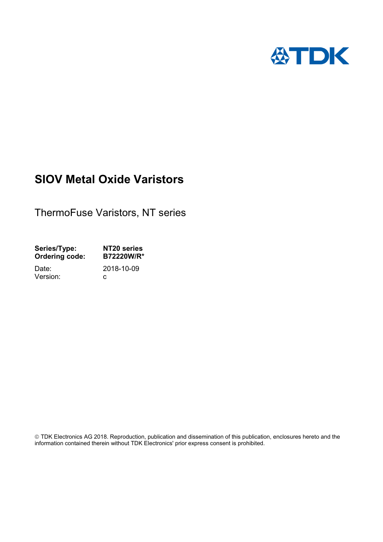

# **SIOV Metal Oxide Varistors**

ThermoFuse Varistors, NT series

| Series/Type:          | NT20 series |
|-----------------------|-------------|
| <b>Ordering code:</b> | B72220W/R*  |
| Date:                 | 2018-10-09  |
| Version:              | C.          |
|                       |             |

 TDK Electronics AG 2018. Reproduction, publication and dissemination of this publication, enclosures hereto and the information contained therein without TDK Electronics' prior express consent is prohibited.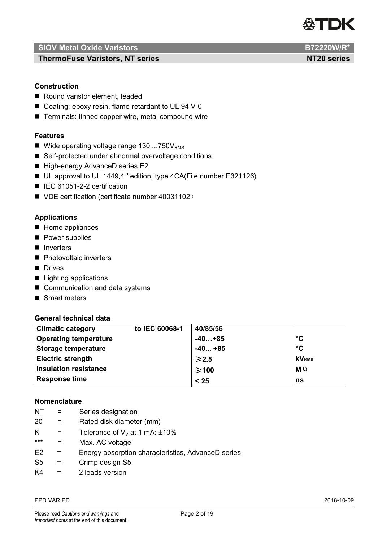

**ThermoFuse Varistors, NT series NT20 series NT20 series** 

# **Construction**

- Round varistor element, leaded
- Coating: epoxy resin, flame-retardant to UL 94 V-0
- Terminals: tinned copper wire, metal compound wire

## **Features**

- Wide operating voltage range  $130...750V_{RMS}$
- Self-protected under abnormal overvoltage conditions
- High-energy AdvanceD series E2
- UL approval to UL 1449,4<sup>th</sup> edition, type 4CA(File number E321126)
- IEC 61051-2-2 certification
- VDE certification (certificate number 40031102)

## **Applications**

- Home appliances
- **Power supplies**
- **I** Inverters
- **Photovoltaic inverters**
- Drives
- Lighting applications
- Communication and data systems
- Smart meters

#### **General technical data**

| <b>Climatic category</b>     | to IEC 60068-1 | 40/85/56        |                 |
|------------------------------|----------------|-----------------|-----------------|
| <b>Operating temperature</b> |                | $-40+85$        | $\rm ^{\circ}C$ |
| <b>Storage temperature</b>   |                | $-40+85$        | $\rm ^{\circ}C$ |
| <b>Electric strength</b>     |                | $\geqslant$ 2.5 | <b>kVRMS</b>    |
| <b>Insulation resistance</b> |                | $\geq 100$      | <b>Μ</b> Ω      |
| <b>Response time</b>         |                | < 25            | ns              |

# **Nomenclature**

- NT = Series designation
- 20 = Rated disk diameter (mm)
- K = Tolerance of  $V_V$  at 1 mA:  $\pm 10\%$
- \*\*\* = Max. AC voltage
- E2 = Energy absorption characteristics, AdvanceD series
- S5 = Crimp design S5
- $K4 = 2$  leads version

#### PPD VAR PD 2018-10-09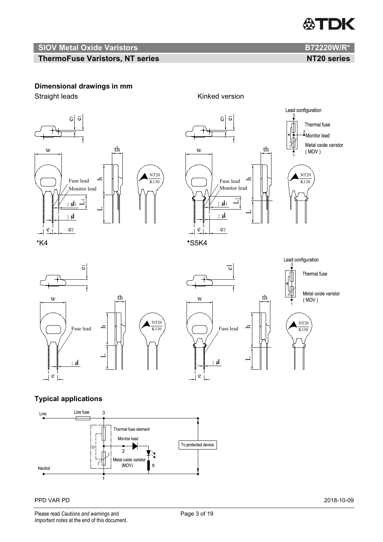

# **ThermoFuse Varistors, NT series NT20 series NT20 series**

# **Dimensional drawings in mm**

Straight leads Kinked version





Thermal fuse Monitor lead Metal oxide varistor Ж  $(MOV)$ NT20  $K130$ 









th

# **Typical applications**



#### PPD VAR PD 2018-10-09

Please read *Cautions and warnings* and **Page 3 of 19** Page 3 of 19 *Important notes* at the end of this document.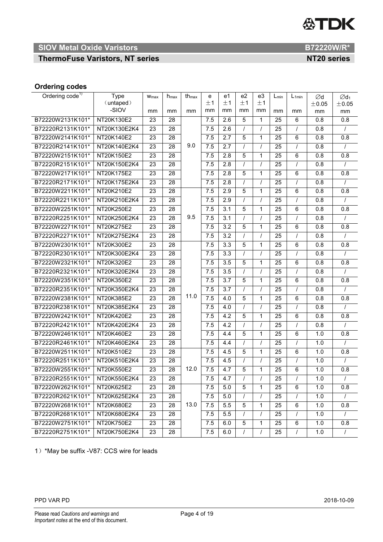# **公TDK**

# **SIOV Metal Oxide Varistors B72220W/R\***

**ThermoFuse Varistors, NT series NT20 series NT20 series** 

# **Ordering codes**

| Ordering code <sup>1)</sup> | <b>Type</b>  | W <sub>max</sub> | $h_{\text{max}}$ | th <sub>max</sub> | е   | e1               | e <sub>2</sub> | e3             | $L_{min}$       | $L_{1min}$     | Ød    | $\emptyset$ d <sub>1</sub> |
|-----------------------------|--------------|------------------|------------------|-------------------|-----|------------------|----------------|----------------|-----------------|----------------|-------|----------------------------|
|                             | (untaped)    |                  |                  |                   | ±1  | ±1               | ±1             | ±1             |                 |                | ±0.05 | ±0.05                      |
|                             | -SIOV        | mm               | mm               | mm                | mm  | mm               | mm             | mm             | mm              | mm             | mm    | mm                         |
| B72220W2131K101*            | NT20K130E2   | 23               | 28               |                   | 7.5 | 2.6              | 5              | 1              | 25              | 6              | 0.8   | 0.8                        |
| B72220R2131K101*            | NT20K130E2K4 | 23               | 28               |                   | 7.5 | 2.6              | $\prime$       | $\overline{I}$ | 25              | $\prime$       | 0.8   | $\prime$                   |
| B72220W2141K101*            | NT20K140E2   | 23               | 28               |                   | 7.5 | 2.7              | 5              | $\mathbf{1}$   | 25              | 6              | 0.8   | 0.8                        |
| B72220R2141K101*            | NT20K140E2K4 | $\overline{23}$  | 28               | 9.0               | 7.5 | $\overline{2.7}$ | $\prime$       | $\overline{I}$ | 25              | $\prime$       | 0.8   | $\prime$                   |
| B72220W2151K101*            | NT20K150E2   | 23               | 28               |                   | 7.5 | 2.8              | 5              | $\mathbf{1}$   | 25              | 6              | 0.8   | 0.8                        |
| B72220R2151K101*            | NT20K150E2K4 | $\overline{23}$  | 28               |                   | 7.5 | $\overline{2.8}$ | $\prime$       | $\overline{I}$ | 25              | $\prime$       | 0.8   |                            |
| B72220W2171K101*            | NT20K175E2   | 23               | 28               |                   | 7.5 | 2.8              | 5              | 1              | 25              | 6              | 0.8   | 0.8                        |
| B72220R2171K101*            | NT20K175E2K4 | 23               | $\overline{28}$  |                   | 7.5 | 2.8              | $\prime$       | $\prime$       | 25              | $\prime$       | 0.8   | $\prime$                   |
| B72220W2211K101*            | NT20K210E2   | 23               | 28               |                   | 7.5 | 2.9              | 5              | 1              | 25              | 6              | 0.8   | 0.8                        |
| B72220R2211K101*            | NT20K210E2K4 | 23               | 28               |                   | 7.5 | 2.9              | $\prime$       | $\prime$       | 25              | $\prime$       | 0.8   |                            |
| B72220W2251K101*            | NT20K250E2   | 23               | 28               |                   | 7.5 | $\overline{3.1}$ | 5              | $\mathbf{1}$   | 25              | $\,6\,$        | 0.8   | 0.8                        |
| B72220R2251K101*            | NT20K250E2K4 | $\overline{23}$  | $\overline{28}$  | 9.5               | 7.5 | $\overline{3.1}$ | $\prime$       | $\prime$       | $\overline{25}$ | $\overline{I}$ | 0.8   | $\prime$                   |
| B72220W2271K101*            | NT20K275E2   | 23               | 28               |                   | 7.5 | 3.2              | 5              | 1              | 25              | 6              | 0.8   | 0.8                        |
| B72220R2271K101*            | NT20K275E2K4 | 23               | 28               |                   | 7.5 | 3.2              | $\prime$       | $\prime$       | 25              | $\prime$       | 0.8   | $\prime$                   |
| B72220W2301K101*            | NT20K300E2   | 23               | 28               |                   | 7.5 | $\overline{3.3}$ | 5              | $\mathbf{1}$   | 25              | 6              | 0.8   | 0.8                        |
| B72220R2301K101*            | NT20K300E2K4 | 23               | 28               |                   | 7.5 | 3.3              | $\prime$       | $\prime$       | 25              | $\prime$       | 0.8   |                            |
| B72220W2321K101*            | NT20K320E2   | 23               | 28               |                   | 7.5 | 3.5              | 5              | $\mathbf{1}$   | 25              | 6              | 0.8   | 0.8                        |
| B72220R2321K101*            | NT20K320E2K4 | $\overline{23}$  | $\overline{28}$  |                   | 7.5 | $\overline{3.5}$ | $\prime$       | $\overline{I}$ | $\overline{25}$ | $\prime$       | 0.8   | $\prime$                   |
| B72220W2351K101*            | NT20K350E2   | 23               | 28               |                   | 7.5 | 3.7              | 5              | $\mathbf{1}$   | 25              | 6              | 0.8   | 0.8                        |
| B72220R2351K101*            | NT20K350E2K4 | 23               | 28               |                   | 7.5 | 3.7              | $\prime$       | $\prime$       | 25              | $\prime$       | 0.8   |                            |
| B72220W2381K101*            | NT20K385E2   | $\overline{23}$  | $\overline{28}$  | 11.0              | 7.5 | 4.0              | 5              | $\mathbf{1}$   | 25              | 6              | 0.8   | 0.8                        |
| B72220R2381K101*            | NT20K385E2K4 | 23               | 28               |                   | 7.5 | 4.0              | $\prime$       | $\prime$       | 25              | $\prime$       | 0.8   |                            |
| B72220W2421K101*            | NT20K420E2   | $\overline{23}$  | 28               |                   | 7.5 | 4.2              | 5              | $\mathbf{1}$   | 25              | 6              | 0.8   | 0.8                        |
| B72220R2421K101*            | NT20K420E2K4 | 23               | 28               |                   | 7.5 | 4.2              | $\prime$       | $\prime$       | 25              | $\prime$       | 0.8   | $\prime$                   |
| B72220W2461K101*            | NT20K460E2   | $\overline{23}$  | $\overline{28}$  |                   | 7.5 | 4.4              | 5              | $\mathbf{1}$   | $\overline{25}$ | 6              | 1.0   | 0.8                        |
| B72220R2461K101*            | NT20K460E2K4 | 23               | 28               |                   | 7.5 | 4.4              | $\prime$       | $\prime$       | 25              | $\prime$       | 1.0   |                            |
| B72220W2511K101*            | NT20K510E2   | 23               | 28               |                   | 7.5 | 4.5              | 5              | 1              | 25              | 6              | 1.0   | 0.8                        |
| B72220R2511K101*            | NT20K510E2K4 | 23               | 28               |                   | 7.5 | 4.5              | $\prime$       | $\overline{I}$ | 25              | $\overline{I}$ | 1.0   | $\prime$                   |
| B72220W2551K101*            | NT20K550E2   | 23               | 28               | 12.0              | 7.5 | 4.7              | 5              | 1              | 25              | 6              | 1.0   | 0.8                        |
| B72220R2551K101*            | NT20K550E2K4 | 23               | 28               |                   | 7.5 | 4.7              |                |                | 25              |                | 1.0   |                            |
| B72220W2621K101*            | NT20K625E2   | 23               | 28               |                   | 7.5 | 5.0              | 5              | $\mathbf{1}$   | 25              | 6              | 1.0   | 0.8                        |
| B72220R2621K101*            | NT20K625E2K4 | 23               | 28               |                   | 7.5 | 5.0              |                |                | 25              | I              | 1.0   |                            |
| B72220W2681K101*            | NT20K680E2   | 23               | 28               | 13.0              | 7.5 | 5.5              | 5              | 1              | 25              | 6              | 1.0   | 0.8                        |
| B72220R2681K101*            | NT20K680E2K4 | 23               | 28               |                   | 7.5 | 5.5              | $\prime$       | $\prime$       | 25              | $\prime$       | 1.0   | $\prime$                   |
| B72220W2751K101*            | NT20K750E2   | 23               | 28               |                   | 7.5 | 6.0              | $\overline{5}$ | 1              | 25              | 6              | 1.0   | 0.8                        |
| B72220R2751K101*            | NT20K750E2K4 | 23               | 28               |                   | 7.5 | 6.0              | $\prime$       | $\prime$       | 25              | $\prime$       | 1.0   | $\prime$                   |

1)\*May be suffix -V87: CCS wire for leads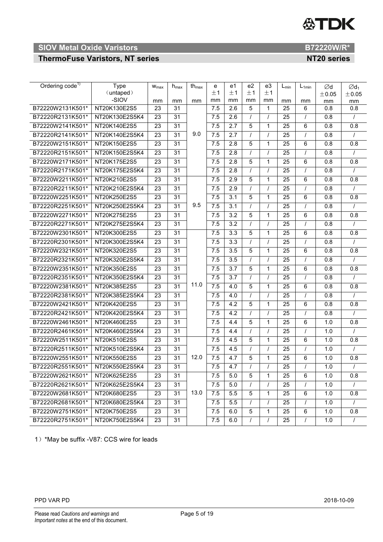# **公TDK**

# **SIOV Metal Oxide Varistors B72220W/R\***

# **ThermoFuse Varistors, NT series NT20 series NT20 series**

| Ordering code <sup>1)</sup> | <b>Type</b>        | W <sub>max</sub> | $h_{\text{max}}$ | th $_{\text{max}}$ | e                | e1               | e2       | e3           | $L_{min}$       | $L_{1min}$     | Ød        | $\emptyset$ d <sub>1</sub> |
|-----------------------------|--------------------|------------------|------------------|--------------------|------------------|------------------|----------|--------------|-----------------|----------------|-----------|----------------------------|
|                             | (untaped)<br>-SIOV |                  |                  |                    | ±1               | ±1               | ±1       | ±1           |                 |                | ±0.05     | ±0.05                      |
| B72220W2131K501*            | NT20K130E2S5       | mm<br>23         | mm<br>31         | mm                 | mm<br>7.5        | mm<br>2.6        | mm<br>5  | mm<br>1      | mm<br>25        | mm<br>6        | mm<br>0.8 | mm<br>0.8                  |
| B72220R2131K501*            | NT20K130E2S5K4     | 23               | 31               |                    | 7.5              | 2.6              |          |              | 25              | $\prime$       | 0.8       |                            |
| B72220W2141K501*            | NT20K140E2S5       | 23               | 31               |                    | 7.5              | 2.7              | 5        | 1            | 25              | 6              | 0.8       | 0.8                        |
| B72220R2141K501*            | NT20K140E2S5K4     | 23               | $\overline{31}$  | 9.0                | 7.5              | 2.7              | $\prime$ | $\prime$     | 25              | $\prime$       | 0.8       |                            |
| B72220W2151K501*            | NT20K150E2S5       | 23               | 31               |                    | 7.5              | 2.8              | 5        | 1            | 25              | 6              | 0.8       | 0.8                        |
| B72220R2151K501*            | NT20K150E2S5K4     | 23               | 31               |                    | 7.5              | 2.8              | $\prime$ | $\prime$     | 25              | $\prime$       | 0.8       | $\prime$                   |
| B72220W2171K501*            | NT20K175E2S5       | 23               | $\overline{31}$  |                    | 7.5              | 2.8              | 5        | 1            | 25              | 6              | 0.8       | 0.8                        |
| B72220R2171K501*            | NT20K175E2S5K4     | 23               | $\overline{31}$  |                    | 7.5              | 2.8              |          |              | 25              | $\prime$       | 0.8       |                            |
| B72220W2211K501*            | NT20K210E2S5       | 23               | 31               |                    | 7.5              | 2.9              | 5        | 1            | 25              | 6              | 0.8       | 0.8                        |
| B72220R2211K501*            | NT20K210E2S5K4     | 23               | $\overline{31}$  |                    | 7.5              | 2.9              | $\prime$ | $\prime$     | 25              | $\prime$       | 0.8       | $\prime$                   |
| B72220W2251K501*            | NT20K250E2S5       | 23               | 31               |                    | 7.5              | 3.1              | 5        | 1            | 25              | 6              | 0.8       | 0.8                        |
| B72220R2251K501*            | NT20K250E2S5K4     | 23               | 31               | 9.5                | 7.5              | 3.1              | $\prime$ |              | 25              | $\prime$       | 0.8       |                            |
| B72220W2271K501*            | NT20K275E2S5       | 23               | 31               |                    | 7.5              | $\overline{3.2}$ | 5        | 1            | 25              | 6              | 0.8       | 0.8                        |
| B72220R2271K501*            | NT20K275E2S5K4     | 23               | $\overline{31}$  |                    | 7.5              | $\overline{3.2}$ | $\prime$ | $\prime$     | 25              | $\prime$       | 0.8       |                            |
| B72220W2301K501*            | NT20K300E2S5       | 23               | 31               |                    | 7.5              | 3.3              | 5        | 1            | 25              | 6              | 0.8       | 0.8                        |
| B72220R2301K501*            | NT20K300E2S5K4     | 23               | $\overline{31}$  |                    | 7.5              | $\overline{3.3}$ | $\prime$ |              | 25              | $\prime$       | 0.8       |                            |
| B72220W2321K501*            | NT20K320E2S5       | 23               | $\overline{31}$  |                    | 7.5              | $\overline{3.5}$ | 5        | 1            | 25              | 6              | 0.8       | 0.8                        |
| B72220R2321K501*            | NT20K320E2S5K4     | 23               | 31               |                    | 7.5              | 3.5              | $\prime$ |              | 25              | $\prime$       | 0.8       |                            |
| B72220W2351K501*            | NT20K350E2S5       | 23               | 31               |                    | 7.5              | 3.7              | 5        | 1            | 25              | 6              | 0.8       | 0.8                        |
| B72220R2351K501*            | NT20K350E2S5K4     | 23               | $\overline{31}$  |                    | 7.5              | 3.7              | $\prime$ | $\prime$     | 25              | $\prime$       | 0.8       | $\prime$                   |
| B72220W2381K501*            | NT20K385E2S5       | 23               | 31               | 11.0               | $\overline{7.5}$ | 4.0              | 5        | 1            | 25              | 6              | 0.8       | 0.8                        |
| B72220R2381K501*            | NT20K385E2S5K4     | 23               | 31               |                    | 7.5              | 4.0              | $\prime$ |              | 25              | $\prime$       | 0.8       |                            |
| B72220W2421K501*            | NT20K420E2S5       | 23               | 31               |                    | 7.5              | $\overline{4.2}$ | 5        | 1            | 25              | 6              | 0.8       | 0.8                        |
| B72220R2421K501*            | NT20K420E2S5K4     | 23               | $\overline{31}$  |                    | 7.5              | 4.2              | $\prime$ |              | 25              | $\prime$       | 0.8       |                            |
| B72220W2461K501*            | NT20K460E2S5       | 23               | 31               |                    | 7.5              | 4.4              | 5        | 1            | 25              | 6              | 1.0       | 0.8                        |
| B72220R2461K501*            | NT20K460E2S5K4     | 23               | 31               |                    | 7.5              | 4.4              |          |              | 25              | $\prime$       | 1.0       |                            |
| B72220W2511K501*            | NT20K510E2S5       | 23               | 31               |                    | 7.5              | 4.5              | 5        | 1            | 25              | 6              | 1.0       | 0.8                        |
| B72220R2511K501*            | NT20K510E2S5K4     | 23               | 31               |                    | 7.5              | 4.5              |          |              | 25              | $\prime$       | 1.0       |                            |
| B72220W2551K501*            | NT20K550E2S5       | 23               | $\overline{31}$  | 12.0               | 7.5              | 4.7              | 5        | 1            | 25              | 6              | 1.0       | 0.8                        |
| B72220R2551K501*            | NT20K550E2S5K4     | $\overline{23}$  | 31               |                    | $7.5$            | 4.7              |          |              | $\overline{25}$ |                | 1.0       |                            |
| B72220W2621K501*            | NT20K625E2S5       | 23               | 31               |                    | 7.5              | 5.0              | 5        | $\mathbf{1}$ | 25              | 6              | 1.0       | 0.8                        |
| B72220R2621K501*            | NT20K625E2S5K4     | 23               | 31               |                    | 7.5              | 5.0              | $\prime$ | $\prime$     | 25              | $\prime$       | 1.0       |                            |
| B72220W2681K501*            | NT20K680E2S5       | 23               | 31               | 13.0               | 7.5              | 5.5              | 5        | $\mathbf{1}$ | 25              | $\overline{6}$ | 1.0       | 0.8                        |
| B72220R2681K501*            | NT20K680E2S5K4     | 23               | 31               |                    | 7.5              | 5.5              |          |              | 25              | $\prime$       | 1.0       |                            |
| B72220W2751K501*            | NT20K750E2S5       | 23               | 31               |                    | 7.5              | 6.0              | 5        | 1            | 25              | 6              | 1.0       | 0.8                        |
| B72220R2751K501*            | NT20K750E2S5K4     | 23               | 31               |                    | 7.5              | 6.0              | $\prime$ | $\prime$     | 25              | $\prime$       | 1.0       | $\prime$                   |

1)\*May be suffix -V87: CCS wire for leads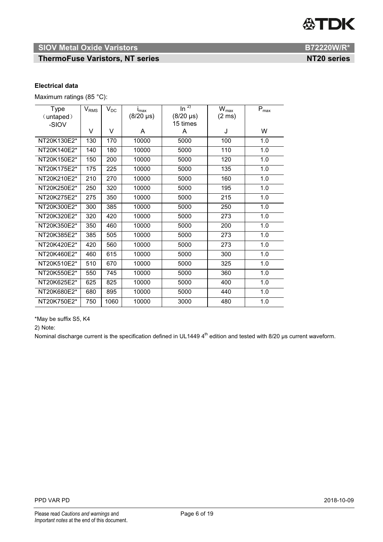**ThermoFuse Varistors, NT series NT20 series NT20 series** 

#### **Electrical data**

Maximum ratings (85 °C):

| <b>Type</b> | $\rm V_{RMS}$ | $V_{DC}$ | $I_{\text{max}}$ | $\overline{\ln^{2}}$ | $\overline{W}_{\text{max}}$ | $\mathsf{P}_{\mathsf{max}}$ |
|-------------|---------------|----------|------------------|----------------------|-----------------------------|-----------------------------|
| (untaped)   |               |          | $(8/20 \,\mu s)$ | $(8/20 \,\mu s)$     | $(2 \text{ ms})$            |                             |
| -SIOV       |               |          |                  | 15 times             |                             |                             |
|             | V             | V        | A                | A                    | J                           | W                           |
| NT20K130E2* | 130           | 170      | 10000            | 5000                 | 100                         | 1.0                         |
| NT20K140E2* | 140           | 180      | 10000            | 5000                 | 110                         | 1.0                         |
| NT20K150E2* | 150           | 200      | 10000            | 5000                 | 120                         | 1.0                         |
| NT20K175E2* | 175           | 225      | 10000            | 5000                 | 135                         | 1.0                         |
| NT20K210E2* | 210           | 270      | 10000            | 5000                 | 160                         | 1.0                         |
| NT20K250E2* | 250           | 320      | 10000            | 5000                 | 195                         | 1.0                         |
| NT20K275E2* | 275           | 350      | 10000            | 5000                 | 215                         | 1.0                         |
| NT20K300E2* | 300           | 385      | 10000            | 5000                 | 250                         | 1.0                         |
| NT20K320E2* | 320           | 420      | 10000            | 5000                 | 273                         | 1.0                         |
| NT20K350E2* | 350           | 460      | 10000            | 5000                 | 200                         | 1.0                         |
| NT20K385E2* | 385           | 505      | 10000            | 5000                 | 273                         | 1.0                         |
| NT20K420E2* | 420           | 560      | 10000            | 5000                 | 273                         | 1.0                         |
| NT20K460E2* | 460           | 615      | 10000            | 5000                 | 300                         | 1.0                         |
| NT20K510E2* | 510           | 670      | 10000            | 5000                 | 325                         | 1.0                         |
| NT20K550E2* | 550           | 745      | 10000            | 5000                 | 360                         | 1.0                         |
| NT20K625E2* | 625           | 825      | 10000            | 5000                 | 400                         | 1.0                         |
| NT20K680E2* | 680           | 895      | 10000            | 5000                 | 440                         | 1.0                         |
| NT20K750E2* | 750           | 1060     | 10000            | 3000                 | 480                         | 1.0                         |

\*May be suffix S5, K4

2) Note:

Nominal discharge current is the specification defined in UL1449  $4^{\text{th}}$  edition and tested with 8/20 µs current waveform.

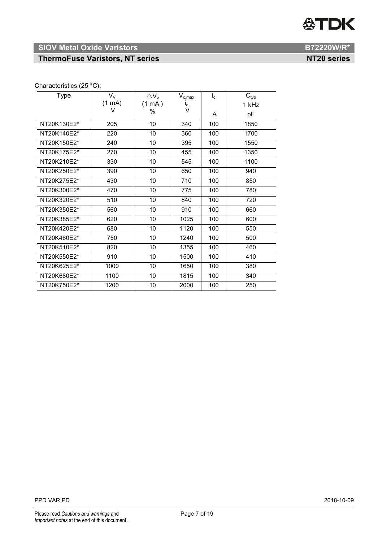# **公TDK**

# **SIOV Metal Oxide Varistors B72220W/R\***

# **ThermoFuse Varistors, NT series NT20 series NT20 series**

# Characteristics (25 °C):

| <b>Type</b> | $V_{V}$          | $\triangle$ V <sub>v</sub> | $\mathsf{V}_{\text{c,max}}$ | $i_{\rm c}$ | $\mathbf{C}_{\text{typ}}$ |
|-------------|------------------|----------------------------|-----------------------------|-------------|---------------------------|
|             | $(1 \text{ mA})$ | (1 mA)                     | $I_{\rm C}$                 |             | 1 kHz                     |
|             | V                | %                          | V                           | A           | рF                        |
| NT20K130E2* | 205              | 10                         | 340                         | 100         | 1850                      |
| NT20K140E2* | 220              | 10                         | 360                         | 100         | 1700                      |
| NT20K150E2* | 240              | 10                         | 395                         | 100         | 1550                      |
| NT20K175E2* | 270              | 10                         | 455                         | 100         | 1350                      |
| NT20K210E2* | 330              | 10                         | 545                         | 100         | 1100                      |
| NT20K250E2* | 390              | 10                         | 650                         | 100         | 940                       |
| NT20K275E2* | 430              | 10                         | 710                         | 100         | 850                       |
| NT20K300E2* | 470              | 10                         | 775                         | 100         | 780                       |
| NT20K320E2* | 510              | 10                         | 840                         | 100         | 720                       |
| NT20K350E2* | 560              | 10                         | 910                         | 100         | 660                       |
| NT20K385E2* | 620              | 10                         | 1025                        | 100         | 600                       |
| NT20K420E2* | 680              | 10                         | 1120                        | 100         | 550                       |
| NT20K460E2* | 750              | 10                         | 1240                        | 100         | 500                       |
| NT20K510E2* | 820              | 10                         | 1355                        | 100         | 460                       |
| NT20K550E2* | 910              | 10                         | 1500                        | 100         | 410                       |
| NT20K625E2* | 1000             | 10                         | 1650                        | 100         | 380                       |
| NT20K680E2* | 1100             | 10                         | 1815                        | 100         | 340                       |
| NT20K750E2* | 1200             | 10                         | 2000                        | 100         | 250                       |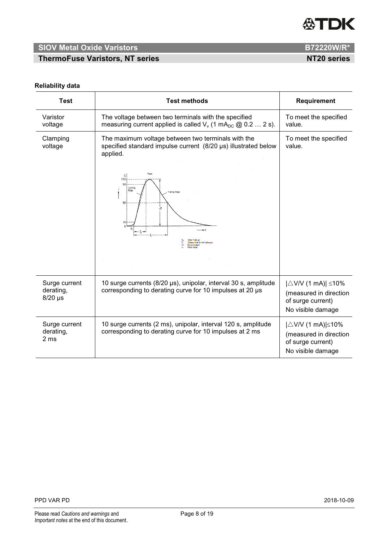

**ThermoFuse Varistors, NT series NT20 series NT20 series** 

## **Reliability data**

| <b>Test</b>                             | <b>Test methods</b>                                                                                                                                                                                                                                 | Requirement                                                                                             |
|-----------------------------------------|-----------------------------------------------------------------------------------------------------------------------------------------------------------------------------------------------------------------------------------------------------|---------------------------------------------------------------------------------------------------------|
| Varistor<br>voltage                     | The voltage between two terminals with the specified<br>measuring current applied is called $V_v$ (1 mA <sub>DC</sub> @ 0.2  2 s).                                                                                                                  | To meet the specified<br>value.                                                                         |
| Clamping<br>voltage                     | The maximum voltage between two terminals with the<br>specified standard impulse current (8/20 µs) illustrated below<br>applied.<br>Peak<br>$\%$<br>100<br>90<br>Leadin<br>Edge<br>railing Edge<br>50<br>ise Time us<br>lecay time to half value us | To meet the specified<br>value.                                                                         |
| Surge current<br>derating,<br>$8/20$ µs | 10 surge currents (8/20 µs), unipolar, interval 30 s, amplitude<br>corresponding to derating curve for 10 impulses at 20 µs                                                                                                                         | $ \triangle$ V/V (1 mA)  $\leq$ 10%<br>(measured in direction<br>of surge current)<br>No visible damage |
| Surge current<br>derating,<br>2 ms      | 10 surge currents (2 ms), unipolar, interval 120 s, amplitude<br>corresponding to derating curve for 10 impulses at 2 ms                                                                                                                            | $ \triangle$ V/V (1 mA)  $\leq$ 10%<br>(measured in direction<br>of surge current)<br>No visible damage |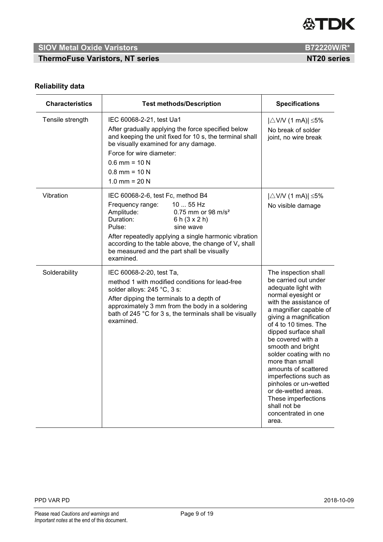

**ThermoFuse Varistors, NT series NT20 series NT20 series** 

# **Reliability data**

| <b>Characteristics</b> | <b>Test methods/Description</b>                                                                                                                                                                                                                                                                                                                               | <b>Specifications</b>                                                                                                                                                                                                                                                                                                                                                                                                                                                                   |
|------------------------|---------------------------------------------------------------------------------------------------------------------------------------------------------------------------------------------------------------------------------------------------------------------------------------------------------------------------------------------------------------|-----------------------------------------------------------------------------------------------------------------------------------------------------------------------------------------------------------------------------------------------------------------------------------------------------------------------------------------------------------------------------------------------------------------------------------------------------------------------------------------|
| Tensile strength       | IEC 60068-2-21, test Ua1<br>After gradually applying the force specified below<br>and keeping the unit fixed for 10 s, the terminal shall<br>be visually examined for any damage.<br>Force for wire diameter:<br>$0.6$ mm = 10 N<br>$0.8$ mm = 10 N<br>1.0 mm = $20 N$                                                                                        | $ \triangle$ V/V (1 mA)  $\leq$ 5%<br>No break of solder<br>joint, no wire break                                                                                                                                                                                                                                                                                                                                                                                                        |
| Vibration              | IEC 60068-2-6, test Fc, method B4<br>10  55 Hz<br>Frequency range:<br>Amplitude:<br>0.75 mm or 98 m/s <sup>2</sup><br>Duration:<br>6 h $(3 \times 2)$<br>Pulse:<br>sine wave<br>After repeatedly applying a single harmonic vibration<br>according to the table above, the change of $V_{v}$ shall<br>be measured and the part shall be visually<br>examined. | $ \triangle$ V/V (1 mA)  $\leq$ 5%<br>No visible damage                                                                                                                                                                                                                                                                                                                                                                                                                                 |
| Solderability          | IEC 60068-2-20, test Ta,<br>method 1 with modified conditions for lead-free<br>solder alloys: 245 °C, 3 s:<br>After dipping the terminals to a depth of<br>approximately 3 mm from the body in a soldering<br>bath of 245 °C for 3 s, the terminals shall be visually<br>examined.                                                                            | The inspection shall<br>be carried out under<br>adequate light with<br>normal eyesight or<br>with the assistance of<br>a magnifier capable of<br>giving a magnification<br>of 4 to 10 times. The<br>dipped surface shall<br>be covered with a<br>smooth and bright<br>solder coating with no<br>more than small<br>amounts of scattered<br>imperfections such as<br>pinholes or un-wetted<br>or de-wetted areas.<br>These imperfections<br>shall not be<br>concentrated in one<br>area. |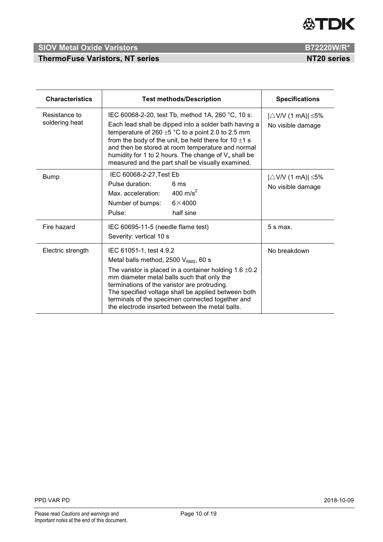

# **ThermoFuse Varistors, NT series NT20 series NT20 series**

| <b>Characteristics</b>          | <b>Test methods/Description</b>                                                                                                                                                                                                                                                                                                                                                                        | <b>Specifications</b>                                   |
|---------------------------------|--------------------------------------------------------------------------------------------------------------------------------------------------------------------------------------------------------------------------------------------------------------------------------------------------------------------------------------------------------------------------------------------------------|---------------------------------------------------------|
| Resistance to<br>soldering heat | IEC 60068-2-20, test Tb, method 1A, 260 °C, 10 s:<br>Each lead shall be dipped into a solder bath having a<br>temperature of 260 $\pm$ 5 °C to a point 2.0 to 2.5 mm<br>from the body of the unit, be held there for $10 \pm 1$ s<br>and then be stored at room temperature and normal<br>humidity for 1 to 2 hours. The change of $V_v$ shall be<br>measured and the part shall be visually examined. | $ \triangle$ V/V (1 mA)  $\leq$ 5%<br>No visible damage |
| <b>Bump</b>                     | IEC 60068-2-27, Test Eb<br>Pulse duration:<br>6 ms<br>400 m/s <sup>2</sup><br>Max. acceleration:<br>$6\times4000$<br>Number of bumps:<br>half sine<br>Pulse:                                                                                                                                                                                                                                           | $ \triangle$ V/V (1 mA)  $\leq$ 5%<br>No visible damage |
| Fire hazard                     | IEC 60695-11-5 (needle flame test)<br>Severity: vertical 10 s                                                                                                                                                                                                                                                                                                                                          | $5 s$ max.                                              |
| Electric strength               | IEC 61051-1, test 4.9.2<br>Metal balls method, 2500 $V_{RMS}$ , 60 s<br>The varistor is placed in a container holding $1.6 \pm 0.2$<br>mm diameter metal balls such that only the<br>terminations of the varistor are protruding.<br>The specified voltage shall be applied between both<br>terminals of the specimen connected together and<br>the electrode inserted between the metal balls.        | No breakdown                                            |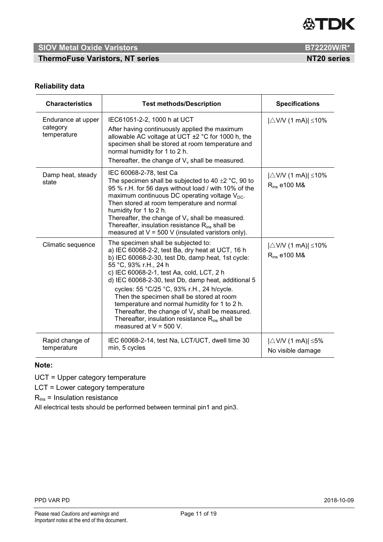

**ThermoFuse Varistors, NT series NT20 series NT20 series** 

# **Reliability data**

| <b>Characteristics</b>                        | <b>Test methods/Description</b>                                                                                                                                                                                                                                                                                                                                                                                                                                                                                                                                        | <b>Specifications</b>                                    |
|-----------------------------------------------|------------------------------------------------------------------------------------------------------------------------------------------------------------------------------------------------------------------------------------------------------------------------------------------------------------------------------------------------------------------------------------------------------------------------------------------------------------------------------------------------------------------------------------------------------------------------|----------------------------------------------------------|
| Endurance at upper<br>category<br>temperature | IEC61051-2-2, 1000 h at UCT<br>After having continuously applied the maximum<br>allowable AC voltage at UCT $\pm$ 2 °C for 1000 h, the<br>specimen shall be stored at room temperature and<br>normal humidity for 1 to 2 h.<br>Thereafter, the change of $V_{v}$ shall be measured.                                                                                                                                                                                                                                                                                    | $ \triangle$ V/V (1 mA)  $\leq$ 10%                      |
| Damp heat, steady<br>state                    | IEC 60068-2-78, test Ca<br>The specimen shall be subjected to 40 $\pm$ 2 °C, 90 to<br>95 % r.H. for 56 days without load / with 10% of the<br>maximum continuous DC operating voltage $V_{\text{DC}}$ .<br>Then stored at room temperature and normal<br>humidity for 1 to 2 h.<br>Thereafter, the change of $V_{v}$ shall be measured.<br>Thereafter, insulation resistance $R_{ins}$ shall be<br>measured at $V = 500$ V (insulated varistors only).                                                                                                                 | $ \triangle$ V/V (1 mA)  $\leq$ 10%<br>$R_{ins}$ e100 M& |
| Climatic sequence                             | The specimen shall be subjected to:<br>a) IEC 60068-2-2, test Ba, dry heat at UCT, 16 h<br>b) IEC 60068-2-30, test Db, damp heat, 1st cycle:<br>55 °C, 93% r.H., 24 h<br>c) IEC 60068-2-1, test Aa, cold, LCT, 2 h<br>d) IEC 60068-2-30, test Db, damp heat, additional 5<br>cycles: 55 °C/25 °C, 93% r.H., 24 h/cycle.<br>Then the specimen shall be stored at room<br>temperature and normal humidity for 1 to 2 h.<br>Thereafter, the change of $V_v$ shall be measured.<br>Thereafter, insulation resistance R <sub>ins</sub> shall be<br>measured at $V = 500$ V. | $ \triangle$ V/V (1 mA)  $\leq$ 10%<br>$R_{ins}$ e100 M& |
| Rapid change of<br>temperature                | IEC 60068-2-14, test Na, LCT/UCT, dwell time 30<br>min, 5 cycles                                                                                                                                                                                                                                                                                                                                                                                                                                                                                                       | $ \triangle$ V/V (1 mA)  $\leq$ 5%<br>No visible damage  |

# **Note:**

UCT = Upper category temperature

LCT = Lower category temperature

 $R_{ins}$  = Insulation resistance

All electrical tests should be performed between terminal pin1 and pin3.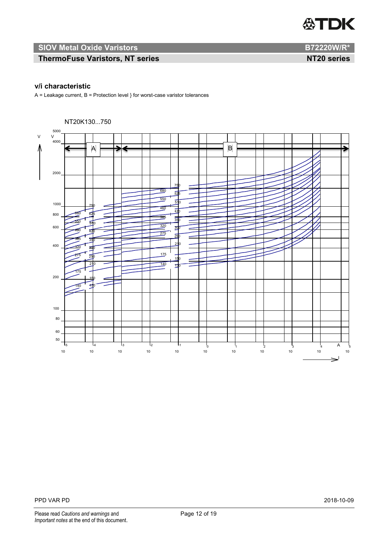

# **ThermoFuse Varistors, NT series NT20 series NT20 series**

# **v/i characteristic**

 $A =$  Leakage current,  $B =$  Protection level  $}$  for worst-case varistor tolerances

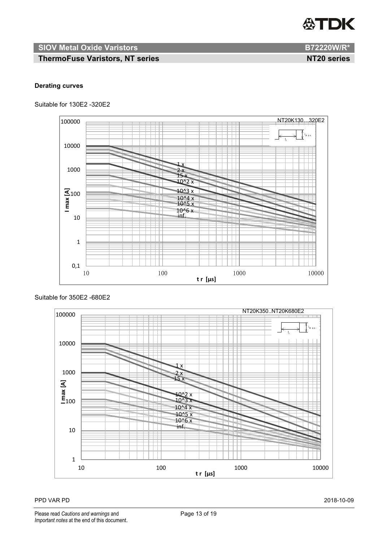

**ThermoFuse Varistors, NT series NT20 series**

# **Derating curves**

Suitable for 130E2 -320E2



### Suitable for 350E2 -680E2

1 x  $2 x$ 15 x 10^2 x  $10<sup>4</sup>$   $\overline{x}$  $10^{4}$  x  $10^{15} x$  $10^{16} x$ inf. 1 10 [<u>A]</u><br>三<br>100 1000 10000 100000 10 100 1000 1000 1000 10000 10000 10000 10000 10000 10000 10000 10000 10000 10000 10000 10000 10000 1000 1000 1 **t r [μs]** NT20K350..NT20K680E2 t r m ax.

#### PPD VAR PD 2018-10-09

Please read *Cautions and warnings* and **Page 13 of 19** Page 13 of 19 *Important notes* at the end of this document.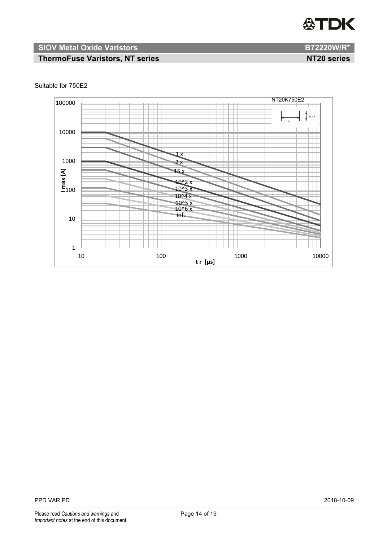

# **ThermoFuse Varistors, NT series NT20 series NT20 series**



#### Suitable for 750E2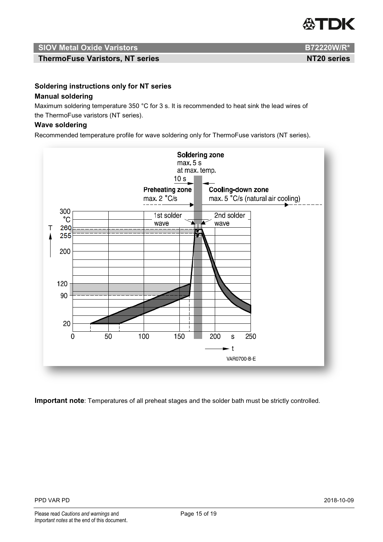

**ThermoFuse Varistors, NT series NT20 series NT20 series** 

**Soldering instructions only for NT series Manual soldering**

Maximum soldering temperature 350 °C for 3 s. It is recommended to heat sink the lead wires of the ThermoFuse varistors (NT series).

### **Wave soldering**

Recommended temperature profile for wave soldering only for ThermoFuse varistors (NT series).



**Important note**: Temperatures of all preheat stages and the solder bath must be strictly controlled.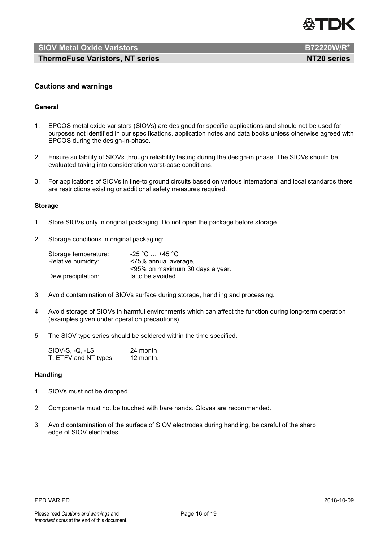

**ThermoFuse Varistors, NT series NT20 series NT20 series** 

#### **Cautions and warnings**

#### **General**

- 1. EPCOS metal oxide varistors (SIOVs) are designed for specific applications and should not be used for purposes not identified in our specifications, application notes and data books unless otherwise agreed with EPCOS during the design-in-phase.
- 2. Ensure suitability of SIOVs through reliability testing during the design-in phase. The SIOVs should be evaluated taking into consideration worst-case conditions.
- 3. For applications of SIOVs in line-to ground circuits based on various international and local standards there are restrictions existing or additional safety measures required.

#### **Storage**

- 1. Store SIOVs only in original packaging. Do not open the package before storage.
- 2. Storage conditions in original packaging:

| Storage temperature: | $-25$ °C $\dots$ +45 °C $\cdot$ |
|----------------------|---------------------------------|
| Relative humidity:   | <75% annual average,            |
|                      | <95% on maximum 30 days a year. |
| Dew precipitation:   | Is to be avoided.               |

- 3. Avoid contamination of SIOVs surface during storage, handling and processing.
- 4. Avoid storage of SIOVs in harmful environments which can affect the function during long-term operation (examples given under operation precautions).
- 5. The SIOV type series should be soldered within the time specified.

| SIOV-S, -Q, -LS      | 24 month  |
|----------------------|-----------|
| T, ETFV and NT types | 12 month. |

#### **Handling**

- 1. SIOVs must not be dropped.
- 2. Components must not be touched with bare hands. Gloves are recommended.
- 3. Avoid contamination of the surface of SIOV electrodes during handling, be careful of the sharp edge of SIOV electrodes.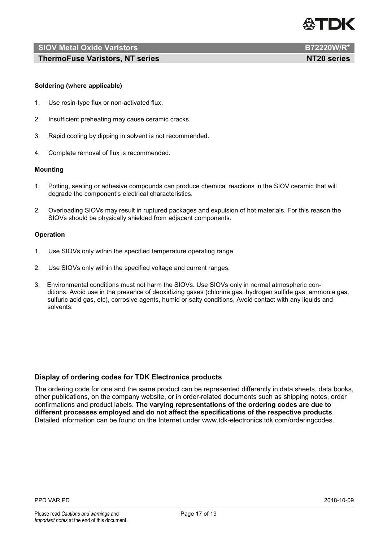

**ThermoFuse Varistors, NT series NT20 series NT20 series** 

#### **Soldering (where applicable)**

- 1. Use rosin-type flux or non-activated flux.
- 2. Insufficient preheating may cause ceramic cracks.
- 3. Rapid cooling by dipping in solvent is not recommended.
- 4. Complete removal of flux is recommended.

#### **Mounting**

- 1. Potting, sealing or adhesive compounds can produce chemical reactions in the SIOV ceramic that will degrade the component's electrical characteristics.
- 2. Overloading SIOVs may result in ruptured packages and expulsion of hot materials. For this reason the SIOVs should be physically shielded from adjacent components.

#### **Operation**

- 1. Use SIOVs only within the specified temperature operating range
- 2. Use SIOVs only within the specified voltage and current ranges.
- 3. Environmental conditions must not harm the SIOVs. Use SIOVs only in normal atmospheric conditions. Avoid use in the presence of deoxidizing gases (chlorine gas, hydrogen sulfide gas, ammonia gas, sulfuric acid gas, etc), corrosive agents, humid or salty conditions, Avoid contact with any liquids and solvents.

#### **Display of ordering codes for TDK Electronics products**

The ordering code for one and the same product can be represented differently in data sheets, data books, other publications, on the company website, or in order-related documents such as shipping notes, order confirmations and product labels. **The varying representations of the ordering codes are due to different processes employed and do not affect the specifications of the respective products**. Detailed information can be found on the Internet under www.tdk-electronics.tdk.com/orderingcodes.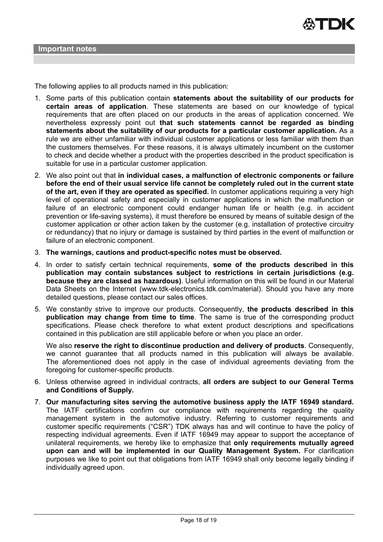The following applies to all products named in this publication:

- 1. Some parts of this publication contain **statements about the suitability of our products for certain areas of application**. These statements are based on our knowledge of typical requirements that are often placed on our products in the areas of application concerned. We nevertheless expressly point out **that such statements cannot be regarded as binding statements about the suitability of our products for a particular customer application.** As a rule we are either unfamiliar with individual customer applications or less familiar with them than the customers themselves. For these reasons, it is always ultimately incumbent on the customer to check and decide whether a product with the properties described in the product specification is suitable for use in a particular customer application.
- 2. We also point out that **in individual cases, a malfunction of electronic components or failure before the end of their usual service life cannot be completely ruled out in the current state of the art, even if they are operated as specified.** In customer applications requiring a very high level of operational safety and especially in customer applications in which the malfunction or failure of an electronic component could endanger human life or health (e.g. in accident prevention or life-saving systems), it must therefore be ensured by means of suitable design of the customer application or other action taken by the customer (e.g. installation of protective circuitry or redundancy) that no injury or damage is sustained by third parties in the event of malfunction or failure of an electronic component.
- 3. **The warnings, cautions and product-specific notes must be observed.**
- 4. In order to satisfy certain technical requirements, **some of the products described in this publication may contain substances subject to restrictions in certain jurisdictions (e.g. because they are classed as hazardous)**. Useful information on this will be found in our Material Data Sheets on the Internet (www.tdk-electronics.tdk.com/material). Should you have any more detailed questions, please contact our sales offices.
- 5. We constantly strive to improve our products. Consequently, **the products described in this publication may change from time to time**. The same is true of the corresponding product specifications. Please check therefore to what extent product descriptions and specifications contained in this publication are still applicable before or when you place an order.

We also **reserve the right to discontinue production and delivery of products**. Consequently, we cannot guarantee that all products named in this publication will always be available. The aforementioned does not apply in the case of individual agreements deviating from the foregoing for customer-specific products.

- 6. Unless otherwise agreed in individual contracts, **all orders are subject to our General Terms and Conditions of Supply.**
- 7. **Our manufacturing sites serving the automotive business apply the IATF 16949 standard.** The IATF certifications confirm our compliance with requirements regarding the quality management system in the automotive industry. Referring to customer requirements and customer specific requirements ("CSR") TDK always has and will continue to have the policy of respecting individual agreements. Even if IATF 16949 may appear to support the acceptance of unilateral requirements, we hereby like to emphasize that **only requirements mutually agreed upon can and will be implemented in our Quality Management System.** For clarification purposes we like to point out that obligations from IATF 16949 shall only become legally binding if individually agreed upon.